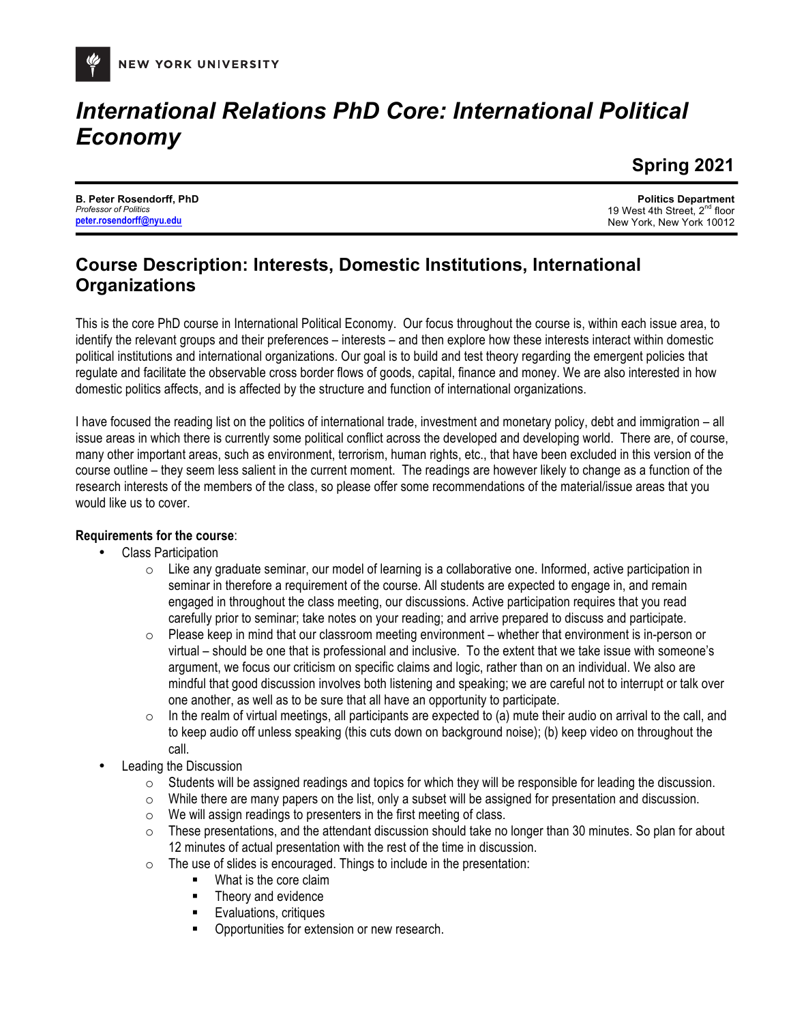

# *International Relations PhD Core: International Political Economy*

**Spring 2021**

**B. Peter Rosendorff, PhD** *Professor of Politics* **peter.rosendorff@nyu.edu**

**Politics Department** 19 West 4th Street, 2<sup>nd</sup> floor New York, New York 10012

### **Course Description: Interests, Domestic Institutions, International Organizations**

This is the core PhD course in International Political Economy. Our focus throughout the course is, within each issue area, to identify the relevant groups and their preferences – interests – and then explore how these interests interact within domestic political institutions and international organizations. Our goal is to build and test theory regarding the emergent policies that regulate and facilitate the observable cross border flows of goods, capital, finance and money. We are also interested in how domestic politics affects, and is affected by the structure and function of international organizations.

I have focused the reading list on the politics of international trade, investment and monetary policy, debt and immigration – all issue areas in which there is currently some political conflict across the developed and developing world. There are, of course, many other important areas, such as environment, terrorism, human rights, etc., that have been excluded in this version of the course outline – they seem less salient in the current moment. The readings are however likely to change as a function of the research interests of the members of the class, so please offer some recommendations of the material/issue areas that you would like us to cover.

#### **Requirements for the course**:

- Class Participation
	- $\circ$  Like any graduate seminar, our model of learning is a collaborative one. Informed, active participation in seminar in therefore a requirement of the course. All students are expected to engage in, and remain engaged in throughout the class meeting, our discussions. Active participation requires that you read carefully prior to seminar; take notes on your reading; and arrive prepared to discuss and participate.
	- $\circ$  Please keep in mind that our classroom meeting environment whether that environment is in-person or virtual – should be one that is professional and inclusive. To the extent that we take issue with someone's argument, we focus our criticism on specific claims and logic, rather than on an individual. We also are mindful that good discussion involves both listening and speaking; we are careful not to interrupt or talk over one another, as well as to be sure that all have an opportunity to participate.
	- $\circ$  In the realm of virtual meetings, all participants are expected to (a) mute their audio on arrival to the call, and to keep audio off unless speaking (this cuts down on background noise); (b) keep video on throughout the call.
- Leading the Discussion
	- $\circ$  Students will be assigned readings and topics for which they will be responsible for leading the discussion.
	- $\circ$  While there are many papers on the list, only a subset will be assigned for presentation and discussion.
	- $\circ$  We will assign readings to presenters in the first meeting of class.
	- $\circ$  These presentations, and the attendant discussion should take no longer than 30 minutes. So plan for about 12 minutes of actual presentation with the rest of the time in discussion.
	- o The use of slides is encouraged. Things to include in the presentation:
		- What is the core claim
		- Theory and evidence
		- Evaluations, critiques
		- § Opportunities for extension or new research.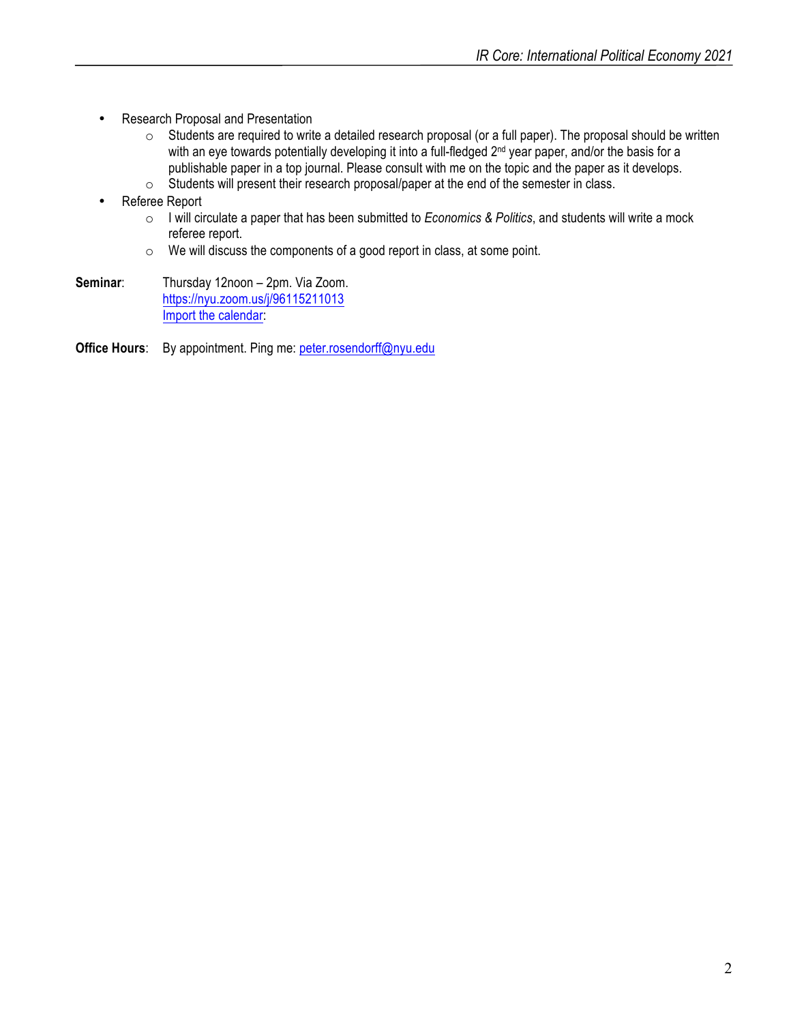- Research Proposal and Presentation
	- o Students are required to write a detailed research proposal (or a full paper). The proposal should be written with an eye towards potentially developing it into a full-fledged 2<sup>nd</sup> year paper, and/or the basis for a publishable paper in a top journal. Please consult with me on the topic and the paper as it develops.
	- o Students will present their research proposal/paper at the end of the semester in class.
- Referee Report
	- o I will circulate a paper that has been submitted to *Economics & Politics*, and students will write a mock referee report.
	- o We will discuss the components of a good report in class, at some point.
- **Seminar**: Thursday 12noon 2pm. Via Zoom. https://nyu.zoom.us/j/96115211013 Import the calendar:
- **Office Hours**: By appointment. Ping me: peter.rosendorff@nyu.edu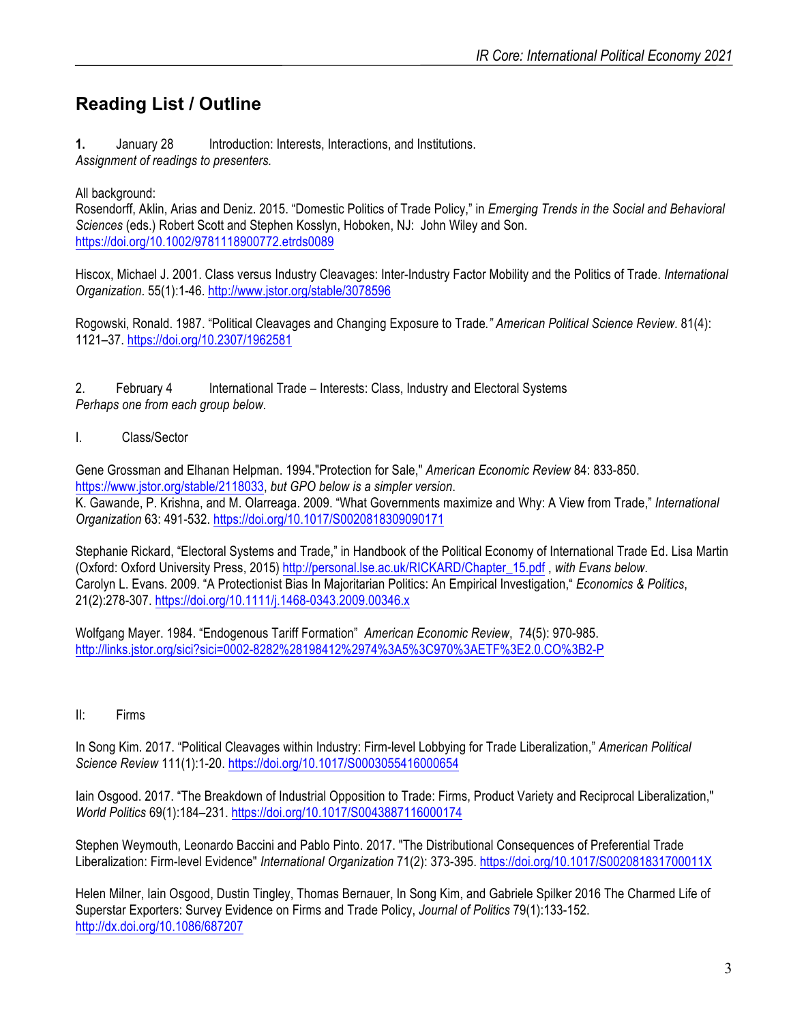## **Reading List / Outline**

**1.** January 28 Introduction: Interests, Interactions, and Institutions. *Assignment of readings to presenters.*

All background:

Rosendorff, Aklin, Arias and Deniz. 2015. "Domestic Politics of Trade Policy," in *Emerging Trends in the Social and Behavioral Sciences* (eds.) Robert Scott and Stephen Kosslyn, Hoboken, NJ: John Wiley and Son. https://doi.org/10.1002/9781118900772.etrds0089

Hiscox, Michael J. 2001. Class versus Industry Cleavages: Inter-Industry Factor Mobility and the Politics of Trade. *International Organization*. 55(1):1-46. http://www.jstor.org/stable/3078596

Rogowski, Ronald. 1987. "Political Cleavages and Changing Exposure to Trade*." American Political Science Review*. 81(4): 1121–37. https://doi.org/10.2307/1962581

2. February 4 International Trade – Interests: Class, Industry and Electoral Systems *Perhaps one from each group below.*

I. Class/Sector

Gene Grossman and Elhanan Helpman. 1994."Protection for Sale," *American Economic Review* 84: 833-850. https://www.jstor.org/stable/2118033, *but GPO below is a simpler version*. K. Gawande, P. Krishna, and M. Olarreaga. 2009. "What Governments maximize and Why: A View from Trade," *International Organization* 63: 491-532. https://doi.org/10.1017/S0020818309090171

Stephanie Rickard, "Electoral Systems and Trade," in Handbook of the Political Economy of International Trade Ed. Lisa Martin (Oxford: Oxford University Press, 2015) http://personal.lse.ac.uk/RICKARD/Chapter\_15.pdf , *with Evans below*. Carolyn L. Evans. 2009. "A Protectionist Bias In Majoritarian Politics: An Empirical Investigation," *Economics & Politics*, 21(2):278-307. https://doi.org/10.1111/j.1468-0343.2009.00346.x

Wolfgang Mayer. 1984. "Endogenous Tariff Formation" *American Economic Review*, 74(5): 970-985. http://links.jstor.org/sici?sici=0002-8282%28198412%2974%3A5%3C970%3AETF%3E2.0.CO%3B2-P

II: Firms

In Song Kim. 2017. "Political Cleavages within Industry: Firm-level Lobbying for Trade Liberalization," *American Political Science Review* 111(1):1-20. https://doi.org/10.1017/S0003055416000654

Iain Osgood. 2017. "The Breakdown of Industrial Opposition to Trade: Firms, Product Variety and Reciprocal Liberalization," *World Politics* 69(1):184–231. https://doi.org/10.1017/S0043887116000174

Stephen Weymouth, Leonardo Baccini and Pablo Pinto. 2017. "The Distributional Consequences of Preferential Trade Liberalization: Firm-level Evidence" *International Organization* 71(2): 373-395. https://doi.org/10.1017/S002081831700011X

Helen Milner, Iain Osgood, Dustin Tingley, Thomas Bernauer, In Song Kim, and Gabriele Spilker 2016 The Charmed Life of Superstar Exporters: Survey Evidence on Firms and Trade Policy, *Journal of Politics* 79(1):133-152. http://dx.doi.org/10.1086/687207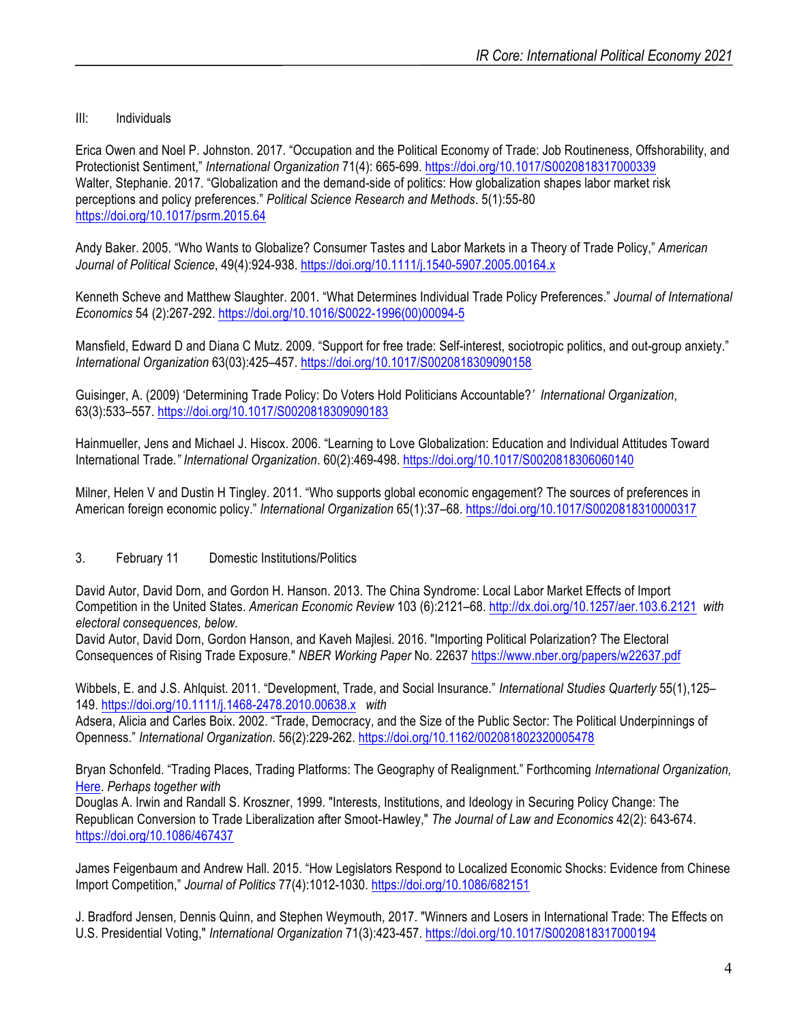#### III: Individuals

Erica Owen and Noel P. Johnston. 2017. "Occupation and the Political Economy of Trade: Job Routineness, Offshorability, and Protectionist Sentiment," *International Organization* 71(4): 665-699. https://doi.org/10.1017/S0020818317000339 Walter, Stephanie. 2017. "Globalization and the demand-side of politics: How globalization shapes labor market risk perceptions and policy preferences." *Political Science Research and Methods*. 5(1):55-80 https://doi.org/10.1017/psrm.2015.64

Andy Baker. 2005. "Who Wants to Globalize? Consumer Tastes and Labor Markets in a Theory of Trade Policy," *American Journal of Political Science*, 49(4):924-938. https://doi.org/10.1111/j.1540-5907.2005.00164.x

Kenneth Scheve and Matthew Slaughter. 2001. "What Determines Individual Trade Policy Preferences." *Journal of International Economics* 54 (2):267-292. https://doi.org/10.1016/S0022-1996(00)00094-5

Mansfield, Edward D and Diana C Mutz. 2009. "Support for free trade: Self-interest, sociotropic politics, and out-group anxiety." *International Organization* 63(03):425–457. https://doi.org/10.1017/S0020818309090158

Guisinger, A. (2009) 'Determining Trade Policy: Do Voters Hold Politicians Accountable?*' International Organization*, 63(3):533–557. https://doi.org/10.1017/S0020818309090183

Hainmueller, Jens and Michael J. Hiscox. 2006. "Learning to Love Globalization: Education and Individual Attitudes Toward International Trade*." International Organization*. 60(2):469-498. https://doi.org/10.1017/S0020818306060140

Milner, Helen V and Dustin H Tingley. 2011. "Who supports global economic engagement? The sources of preferences in American foreign economic policy." *International Organization* 65(1):37–68. https://doi.org/10.1017/S0020818310000317

#### 3. February 11 Domestic Institutions/Politics

David Autor, David Dorn, and Gordon H. Hanson. 2013. The China Syndrome: Local Labor Market Effects of Import Competition in the United States. *American Economic Review* 103 (6):2121–68. http://dx.doi.org/10.1257/aer.103.6.2121 *with electoral consequences, below.*

David Autor, David Dorn, Gordon Hanson, and Kaveh Majlesi. 2016. "Importing Political Polarization? The Electoral Consequences of Rising Trade Exposure." *NBER Working Paper* No. 22637 https://www.nber.org/papers/w22637.pdf

Wibbels, E. and J.S. Ahlquist. 2011. "Development, Trade, and Social Insurance." *International Studies Quarterly* 55(1),125– 149. https://doi.org/10.1111/j.1468-2478.2010.00638.x *with*

Adsera, Alicia and Carles Boix. 2002. "Trade, Democracy, and the Size of the Public Sector: The Political Underpinnings of Openness." *International Organization*. 56(2):229-262. https://doi.org/10.1162/002081802320005478

Bryan Schonfeld. "Trading Places, Trading Platforms: The Geography of Realignment." Forthcoming *International Organization,* Here. *Perhaps together with*

Douglas A. Irwin and Randall S. Kroszner, 1999. "Interests, Institutions, and Ideology in Securing Policy Change: The Republican Conversion to Trade Liberalization after Smoot-Hawley," *The Journal of Law and Economics* 42(2): 643-674. https://doi.org/10.1086/467437

James Feigenbaum and Andrew Hall. 2015. "How Legislators Respond to Localized Economic Shocks: Evidence from Chinese Import Competition," *Journal of Politics* 77(4):1012-1030. https://doi.org/10.1086/682151

J. Bradford Jensen, Dennis Quinn, and Stephen Weymouth, 2017. "Winners and Losers in International Trade: The Effects on U.S. Presidential Voting," *International Organization* 71(3):423-457. https://doi.org/10.1017/S0020818317000194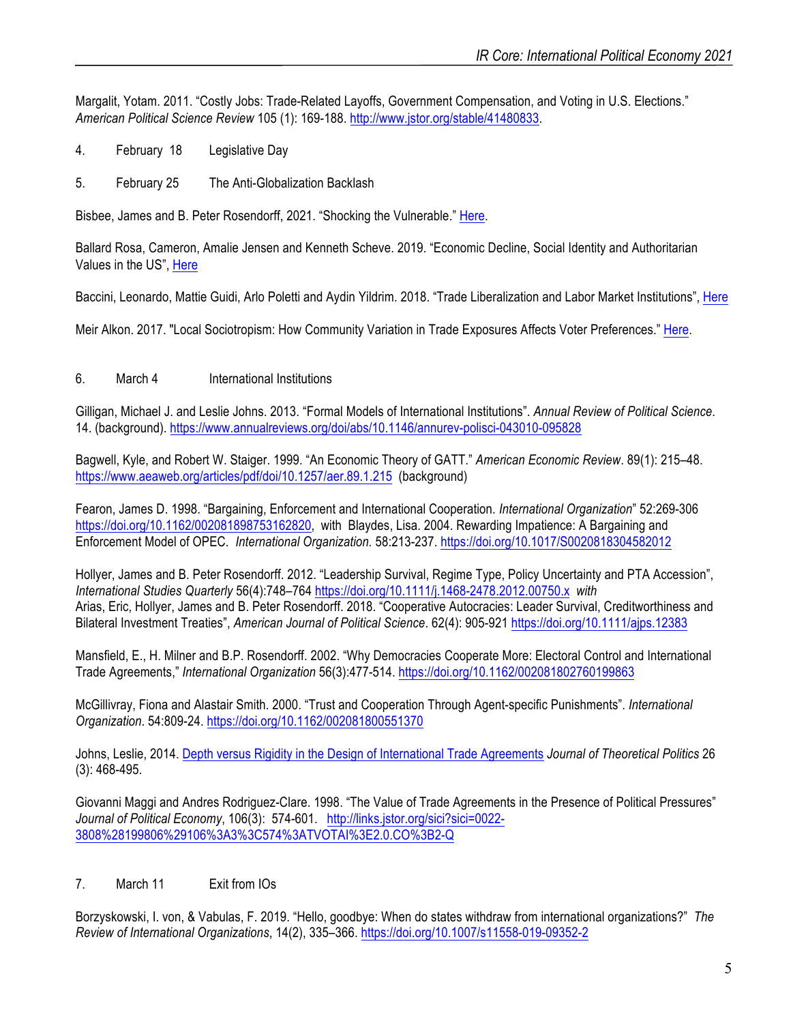Margalit, Yotam. 2011. "Costly Jobs: Trade-Related Layoffs, Government Compensation, and Voting in U.S. Elections." *American Political Science Review* 105 (1): 169-188. http://www.jstor.org/stable/41480833.

- 4. February 18 Legislative Day
- 5. February 25 The Anti-Globalization Backlash

Bisbee, James and B. Peter Rosendorff, 2021. "Shocking the Vulnerable." Here.

Ballard Rosa, Cameron, Amalie Jensen and Kenneth Scheve. 2019. "Economic Decline, Social Identity and Authoritarian Values in the US", Here

Baccini, Leonardo, Mattie Guidi, Arlo Poletti and Aydin Yildrim. 2018. "Trade Liberalization and Labor Market Institutions", Here

Meir Alkon. 2017. "Local Sociotropism: How Community Variation in Trade Exposures Affects Voter Preferences." Here.

#### 6. March 4 International Institutions

Gilligan, Michael J. and Leslie Johns. 2013. "Formal Models of International Institutions". *Annual Review of Political Science*. 14. (background). https://www.annualreviews.org/doi/abs/10.1146/annurev-polisci-043010-095828

Bagwell, Kyle, and Robert W. Staiger. 1999. "An Economic Theory of GATT." *American Economic Review*. 89(1): 215–48. https://www.aeaweb.org/articles/pdf/doi/10.1257/aer.89.1.215 (background)

Fearon, James D. 1998. "Bargaining, Enforcement and International Cooperation. *International Organization*" 52:269-306 https://doi.org/10.1162/002081898753162820, with Blaydes, Lisa. 2004. Rewarding Impatience: A Bargaining and Enforcement Model of OPEC. *International Organization.* 58:213-237. https://doi.org/10.1017/S0020818304582012

Hollyer, James and B. Peter Rosendorff. 2012. "Leadership Survival, Regime Type, Policy Uncertainty and PTA Accession", *International Studies Quarterly* 56(4):748–764 https://doi.org/10.1111/j.1468-2478.2012.00750.x *with* Arias, Eric, Hollyer, James and B. Peter Rosendorff. 2018. "Cooperative Autocracies: Leader Survival, Creditworthiness and Bilateral Investment Treaties", *American Journal of Political Science*. 62(4): 905-921 https://doi.org/10.1111/ajps.12383

Mansfield, E., H. Milner and B.P. Rosendorff. 2002. "Why Democracies Cooperate More: Electoral Control and International Trade Agreements," *International Organization* 56(3):477-514. https://doi.org/10.1162/002081802760199863

McGillivray, Fiona and Alastair Smith. 2000. "Trust and Cooperation Through Agent-specific Punishments". *International Organization*. 54:809-24. https://doi.org/10.1162/002081800551370

Johns, Leslie, 2014. Depth versus Rigidity in the Design of International Trade Agreements *Journal of Theoretical Politics* 26 (3): 468-495.

Giovanni Maggi and Andres Rodriguez-Clare. 1998. "The Value of Trade Agreements in the Presence of Political Pressures" *Journal of Political Economy*, 106(3): 574-601. http://links.jstor.org/sici?sici=0022- 3808%28199806%29106%3A3%3C574%3ATVOTAI%3E2.0.CO%3B2-Q

#### 7. March 11 Exit from IOs

Borzyskowski, I. von, & Vabulas, F. 2019. "Hello, goodbye: When do states withdraw from international organizations?" *The Review of International Organizations*, 14(2), 335–366. https://doi.org/10.1007/s11558-019-09352-2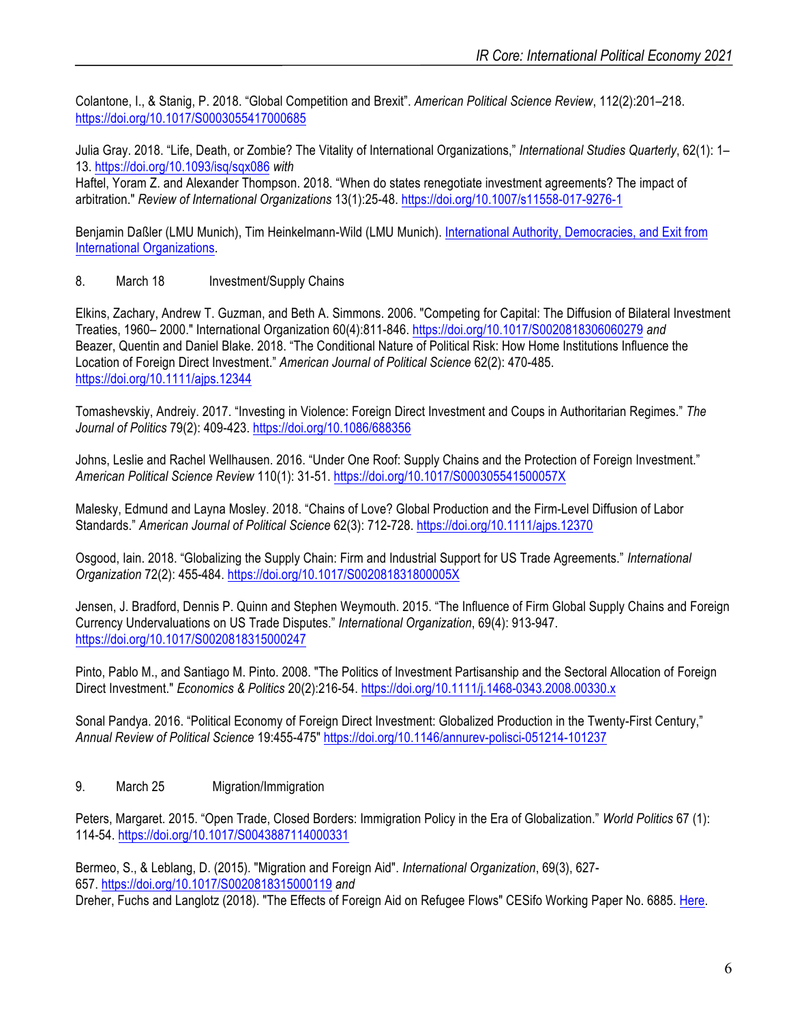Colantone, I., & Stanig, P. 2018. "Global Competition and Brexit". *American Political Science Review*, 112(2):201–218. https://doi.org/10.1017/S0003055417000685

Julia Gray. 2018. "Life, Death, or Zombie? The Vitality of International Organizations," *International Studies Quarterly*, 62(1): 1– 13. https://doi.org/10.1093/isq/sqx086 *with*

Haftel, Yoram Z. and Alexander Thompson. 2018. "When do states renegotiate investment agreements? The impact of arbitration." *Review of International Organizations* 13(1):25-48. https://doi.org/10.1007/s11558-017-9276-1

Benjamin Daßler (LMU Munich), Tim Heinkelmann-Wild (LMU Munich). International Authority, Democracies, and Exit from International Organizations.

8. March 18 Investment/Supply Chains

Elkins, Zachary, Andrew T. Guzman, and Beth A. Simmons. 2006. "Competing for Capital: The Diffusion of Bilateral Investment Treaties, 1960– 2000." International Organization 60(4):811-846. https://doi.org/10.1017/S0020818306060279 *and* Beazer, Quentin and Daniel Blake. 2018. "The Conditional Nature of Political Risk: How Home Institutions Influence the Location of Foreign Direct Investment." *American Journal of Political Science* 62(2): 470-485. https://doi.org/10.1111/ajps.12344

Tomashevskiy, Andreiy. 2017. "Investing in Violence: Foreign Direct Investment and Coups in Authoritarian Regimes." *The Journal of Politics* 79(2): 409-423. https://doi.org/10.1086/688356

Johns, Leslie and Rachel Wellhausen. 2016. "Under One Roof: Supply Chains and the Protection of Foreign Investment." *American Political Science Review* 110(1): 31-51. https://doi.org/10.1017/S000305541500057X

Malesky, Edmund and Layna Mosley. 2018. "Chains of Love? Global Production and the Firm-Level Diffusion of Labor Standards." *American Journal of Political Science* 62(3): 712-728. https://doi.org/10.1111/ajps.12370

Osgood, Iain. 2018. "Globalizing the Supply Chain: Firm and Industrial Support for US Trade Agreements." *International Organization* 72(2): 455-484. https://doi.org/10.1017/S002081831800005X

Jensen, J. Bradford, Dennis P. Quinn and Stephen Weymouth. 2015. "The Influence of Firm Global Supply Chains and Foreign Currency Undervaluations on US Trade Disputes." *International Organization*, 69(4): 913-947. https://doi.org/10.1017/S0020818315000247

Pinto, Pablo M., and Santiago M. Pinto. 2008. "The Politics of Investment Partisanship and the Sectoral Allocation of Foreign Direct Investment." *Economics & Politics* 20(2):216-54. https://doi.org/10.1111/j.1468-0343.2008.00330.x

Sonal Pandya. 2016. "Political Economy of Foreign Direct Investment: Globalized Production in the Twenty-First Century," *Annual Review of Political Science* 19:455-475" https://doi.org/10.1146/annurev-polisci-051214-101237

#### 9. March 25 Migration/Immigration

Peters, Margaret. 2015. "Open Trade, Closed Borders: Immigration Policy in the Era of Globalization." *World Politics* 67 (1): 114-54. https://doi.org/10.1017/S0043887114000331

Bermeo, S., & Leblang, D. (2015). "Migration and Foreign Aid". *International Organization*, 69(3), 627- 657. https://doi.org/10.1017/S0020818315000119 *and* Dreher, Fuchs and Langlotz (2018). "The Effects of Foreign Aid on Refugee Flows" CESifo Working Paper No. 6885. Here.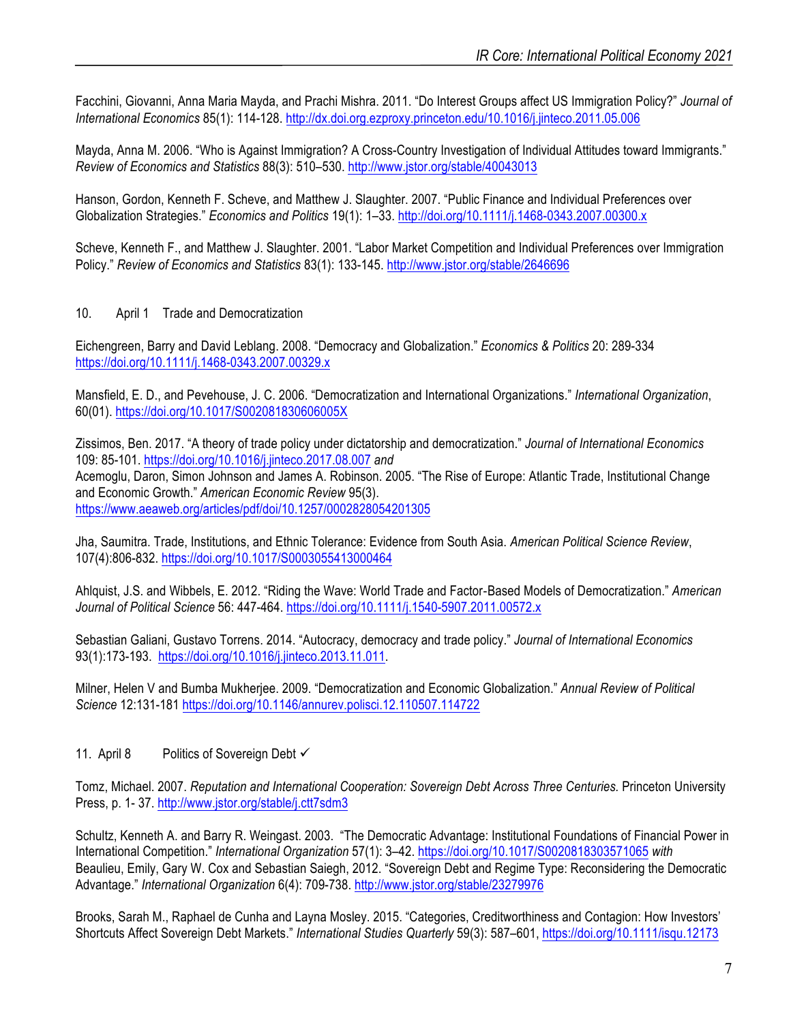Facchini, Giovanni, Anna Maria Mayda, and Prachi Mishra. 2011. "Do Interest Groups affect US Immigration Policy?" *Journal of International Economics* 85(1): 114-128. http://dx.doi.org.ezproxy.princeton.edu/10.1016/j.jinteco.2011.05.006

Mayda, Anna M. 2006. "Who is Against Immigration? A Cross-Country Investigation of Individual Attitudes toward Immigrants." *Review of Economics and Statistics* 88(3): 510–530. http://www.jstor.org/stable/40043013

Hanson, Gordon, Kenneth F. Scheve, and Matthew J. Slaughter. 2007. "Public Finance and Individual Preferences over Globalization Strategies." *Economics and Politics* 19(1): 1–33. http://doi.org/10.1111/j.1468-0343.2007.00300.x

Scheve, Kenneth F., and Matthew J. Slaughter. 2001. "Labor Market Competition and Individual Preferences over Immigration Policy." *Review of Economics and Statistics* 83(1): 133-145. http://www.jstor.org/stable/2646696

10. April 1 Trade and Democratization

Eichengreen, Barry and David Leblang. 2008. "Democracy and Globalization." *Economics & Politics* 20: 289-334 https://doi.org/10.1111/j.1468-0343.2007.00329.x

Mansfield, E. D., and Pevehouse, J. C. 2006. "Democratization and International Organizations." *International Organization*, 60(01). https://doi.org/10.1017/S002081830606005X

Zissimos, Ben. 2017. "A theory of trade policy under dictatorship and democratization." *Journal of International Economics* 109: 85-101. https://doi.org/10.1016/j.jinteco.2017.08.007 *and* Acemoglu, Daron, Simon Johnson and James A. Robinson. 2005. "The Rise of Europe: Atlantic Trade, Institutional Change and Economic Growth." *American Economic Review* 95(3). https://www.aeaweb.org/articles/pdf/doi/10.1257/0002828054201305

Jha, Saumitra. Trade, Institutions, and Ethnic Tolerance: Evidence from South Asia. *American Political Science Review*, 107(4):806-832. https://doi.org/10.1017/S0003055413000464

Ahlquist, J.S. and Wibbels, E. 2012. "Riding the Wave: World Trade and Factor-Based Models of Democratization." *American Journal of Political Science* 56: 447-464. https://doi.org/10.1111/j.1540-5907.2011.00572.x

Sebastian Galiani, Gustavo Torrens. 2014. "Autocracy, democracy and trade policy." *Journal of International Economics* 93(1):173-193. https://doi.org/10.1016/j.jinteco.2013.11.011.

Milner, Helen V and Bumba Mukherjee. 2009. "Democratization and Economic Globalization." *Annual Review of Political Science* 12:131-181 https://doi.org/10.1146/annurev.polisci.12.110507.114722

11. April 8 Politics of Sovereign Debt ✓

Tomz, Michael. 2007. *Reputation and International Cooperation: Sovereign Debt Across Three Centuries.* Princeton University Press, p. 1- 37. http://www.jstor.org/stable/j.ctt7sdm3

Schultz, Kenneth A. and Barry R. Weingast. 2003. "The Democratic Advantage: Institutional Foundations of Financial Power in International Competition." *International Organization* 57(1): 3–42. https://doi.org/10.1017/S0020818303571065 *with* Beaulieu, Emily, Gary W. Cox and Sebastian Saiegh, 2012. "Sovereign Debt and Regime Type: Reconsidering the Democratic Advantage." *International Organization* 6(4): 709-738. http://www.jstor.org/stable/23279976

Brooks, Sarah M., Raphael de Cunha and Layna Mosley. 2015. "Categories, Creditworthiness and Contagion: How Investors' Shortcuts Affect Sovereign Debt Markets." *International Studies Quarterly* 59(3): 587–601, https://doi.org/10.1111/isqu.12173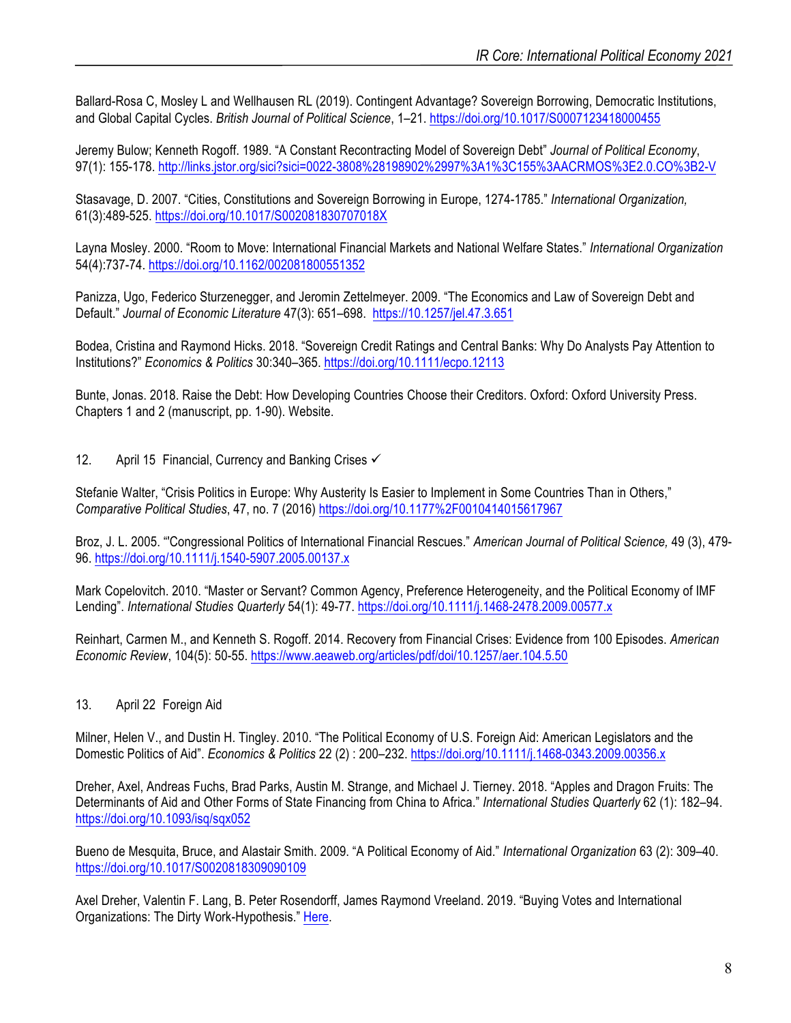Ballard-Rosa C, Mosley L and Wellhausen RL (2019). Contingent Advantage? Sovereign Borrowing, Democratic Institutions, and Global Capital Cycles. *British Journal of Political Science*, 1–21. https://doi.org/10.1017/S0007123418000455

Jeremy Bulow; Kenneth Rogoff. 1989. "A Constant Recontracting Model of Sovereign Debt" *Journal of Political Economy*, 97(1): 155-178. http://links.jstor.org/sici?sici=0022-3808%28198902%2997%3A1%3C155%3AACRMOS%3E2.0.CO%3B2-V

Stasavage, D. 2007. "Cities, Constitutions and Sovereign Borrowing in Europe, 1274-1785." *International Organization,*  61(3):489-525. https://doi.org/10.1017/S002081830707018X

Layna Mosley. 2000. "Room to Move: International Financial Markets and National Welfare States." *International Organization*  54(4):737-74. https://doi.org/10.1162/002081800551352

Panizza, Ugo, Federico Sturzenegger, and Jeromin Zettelmeyer. 2009. "The Economics and Law of Sovereign Debt and Default." *Journal of Economic Literature* 47(3): 651–698. https://10.1257/jel.47.3.651

Bodea, Cristina and Raymond Hicks. 2018. "Sovereign Credit Ratings and Central Banks: Why Do Analysts Pay Attention to Institutions?" *Economics & Politics* 30:340–365. https://doi.org/10.1111/ecpo.12113

Bunte, Jonas. 2018. Raise the Debt: How Developing Countries Choose their Creditors. Oxford: Oxford University Press. Chapters 1 and 2 (manuscript, pp. 1-90). Website.

12. April 15 Financial, Currency and Banking Crises ✓

Stefanie Walter, "Crisis Politics in Europe: Why Austerity Is Easier to Implement in Some Countries Than in Others," *Comparative Political Studies*, 47, no. 7 (2016) https://doi.org/10.1177%2F0010414015617967

Broz, J. L. 2005. "'Congressional Politics of International Financial Rescues." *American Journal of Political Science,* 49 (3), 479- 96. https://doi.org/10.1111/j.1540-5907.2005.00137.x

Mark Copelovitch. 2010. "Master or Servant? Common Agency, Preference Heterogeneity, and the Political Economy of IMF Lending". *International Studies Quarterly* 54(1): 49-77. https://doi.org/10.1111/j.1468-2478.2009.00577.x

Reinhart, Carmen M., and Kenneth S. Rogoff. 2014. Recovery from Financial Crises: Evidence from 100 Episodes. *American Economic Review*, 104(5): 50-55. https://www.aeaweb.org/articles/pdf/doi/10.1257/aer.104.5.50

#### 13. April 22 Foreign Aid

Milner, Helen V., and Dustin H. Tingley. 2010. "The Political Economy of U.S. Foreign Aid: American Legislators and the Domestic Politics of Aid". *Economics & Politics* 22 (2) : 200–232. https://doi.org/10.1111/j.1468-0343.2009.00356.x

Dreher, Axel, Andreas Fuchs, Brad Parks, Austin M. Strange, and Michael J. Tierney. 2018. "Apples and Dragon Fruits: The Determinants of Aid and Other Forms of State Financing from China to Africa." *International Studies Quarterly* 62 (1): 182–94. https://doi.org/10.1093/isq/sqx052

Bueno de Mesquita, Bruce, and Alastair Smith. 2009. "A Political Economy of Aid." *International Organization* 63 (2): 309–40. https://doi.org/10.1017/S0020818309090109

Axel Dreher, Valentin F. Lang, B. Peter Rosendorff, James Raymond Vreeland. 2019. "Buying Votes and International Organizations: The Dirty Work-Hypothesis." Here.